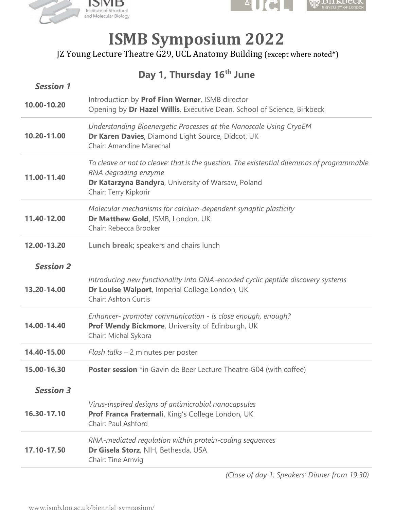



## ISMB Symposium 2022

## Day 1, Thursday 16<sup>th</sup> June

|                                 | ƏIVID<br>nstitute of Structural<br>and Molecular Biology                                                                                |                                                                                            | <b>IVERSITY OF LONDO</b> |
|---------------------------------|-----------------------------------------------------------------------------------------------------------------------------------------|--------------------------------------------------------------------------------------------|--------------------------|
|                                 | JZ Young Lecture Theatre G29, UCL Anatomy Building (except where noted*)                                                                | <b>ISMB Symposium 2022</b>                                                                 |                          |
| <b>Session 1</b>                |                                                                                                                                         | Day 1, Thursday 16 <sup>th</sup> June                                                      |                          |
| 10.00-10.20                     | Introduction by Prof Finn Werner, ISMB director                                                                                         | Opening by Dr Hazel Willis, Executive Dean, School of Science, Birkbeck                    |                          |
| 10.20-11.00                     | Dr Karen Davies, Diamond Light Source, Didcot, UK<br>Chair: Amandine Marechal                                                           | Understanding Bioenergetic Processes at the Nanoscale Using CryoEM                         |                          |
| 11.00-11.40                     | RNA degrading enzyme<br>Dr Katarzyna Bandyra, University of Warsaw, Poland<br>Chair: Terry Kipkorir                                     | To cleave or not to cleave: that is the question. The existential dilemmas of programmable |                          |
| 11.40-12.00                     | Molecular mechanisms for calcium-dependent synaptic plasticity<br>Dr Matthew Gold, ISMB, London, UK<br>Chair: Rebecca Brooker           |                                                                                            |                          |
| 12.00-13.20                     | Lunch break; speakers and chairs lunch                                                                                                  |                                                                                            |                          |
| <b>Session 2</b><br>13.20-14.00 | Dr Louise Walport, Imperial College London, UK<br>Chair: Ashton Curtis                                                                  | Introducing new functionality into DNA-encoded cyclic peptide discovery systems            |                          |
| 14.00-14.40                     | Enhancer- promoter communication - is close enough, enough?<br>Prof Wendy Bickmore, University of Edinburgh, UK<br>Chair: Michal Sykora |                                                                                            |                          |
| 14.40-15.00                     | Flash talks - 2 minutes per poster                                                                                                      |                                                                                            |                          |
| 15.00-16.30                     |                                                                                                                                         | <b>Poster session</b> *in Gavin de Beer Lecture Theatre G04 (with coffee)                  |                          |
| <b>Session 3</b>                |                                                                                                                                         |                                                                                            |                          |
| 16.30-17.10                     | Virus-inspired designs of antimicrobial nanocapsules<br>Prof Franca Fraternali, King's College London, UK<br>Chair: Paul Ashford        |                                                                                            |                          |
| 17.10-17.50                     | RNA-mediated regulation within protein-coding sequences<br>Dr Gisela Storz, NIH, Bethesda, USA<br>Chair: Tine Arnvig                    |                                                                                            |                          |

(Close of day 1; Speakers' Dinner from 19.30)